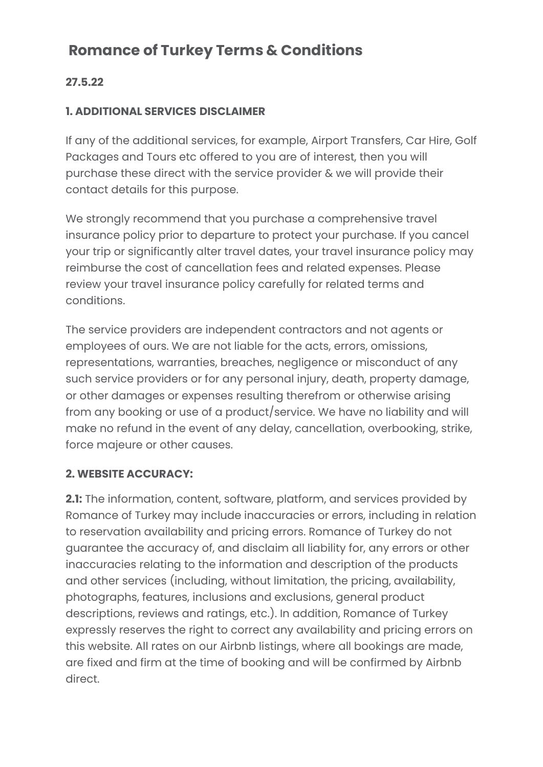## **Romance of Turkey Terms & Conditions**

## **27.5.22**

## **1. ADDITIONAL SERVICES DISCLAIMER**

If any of the additional services, for example, Airport Transfers, Car Hire, Golf Packages and Tours etc offered to you are of interest, then you will purchase these direct with the service provider & we will provide their contact details for this purpose.

We strongly recommend that you purchase a comprehensive travel insurance policy prior to departure to protect your purchase. If you cancel your trip or significantly alter travel dates, your travel insurance policy may reimburse the cost of cancellation fees and related expenses. Please review your travel insurance policy carefully for related terms and conditions.

The service providers are independent contractors and not agents or employees of ours. We are not liable for the acts, errors, omissions, representations, warranties, breaches, negligence or misconduct of any such service providers or for any personal injury, death, property damage, or other damages or expenses resulting therefrom or otherwise arising from any booking or use of a product/service. We have no liability and will make no refund in the event of any delay, cancellation, overbooking, strike, force majeure or other causes.

## **2. WEBSITE ACCURACY:**

**2.1:** The information, content, software, platform, and services provided by Romance of Turkey may include inaccuracies or errors, including in relation to reservation availability and pricing errors. Romance of Turkey do not guarantee the accuracy of, and disclaim all liability for, any errors or other inaccuracies relating to the information and description of the products and other services (including, without limitation, the pricing, availability, photographs, features, inclusions and exclusions, general product descriptions, reviews and ratings, etc.). In addition, Romance of Turkey expressly reserves the right to correct any availability and pricing errors on this website. All rates on our Airbnb listings, where all bookings are made, are fixed and firm at the time of booking and will be confirmed by Airbnb direct.